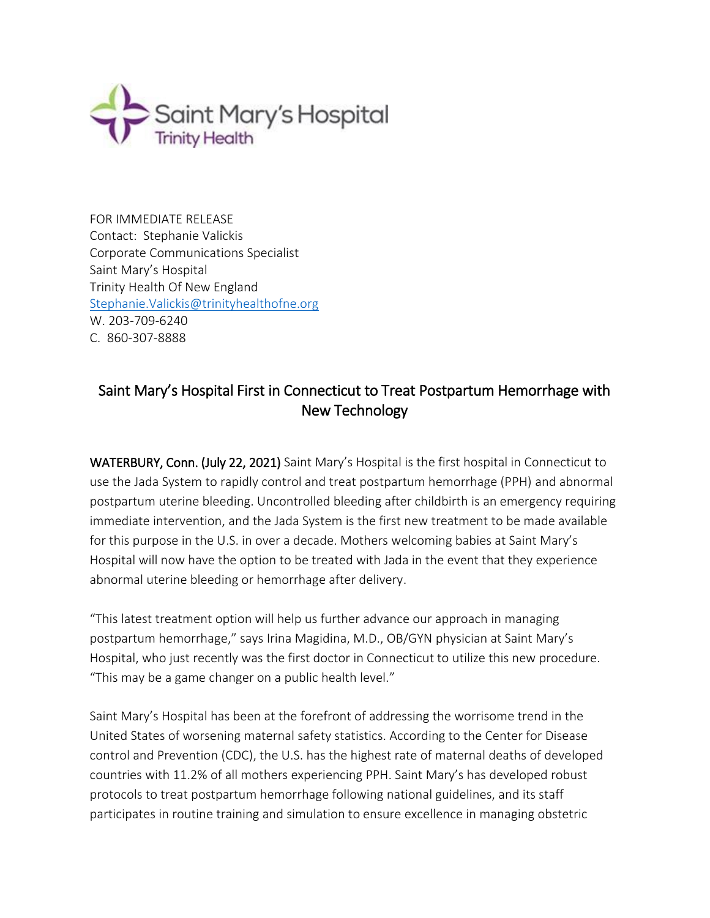

FOR IMMEDIATE RELEASE Contact: Stephanie Valickis Corporate Communications Specialist Saint Mary's Hospital Trinity Health Of New England [Stephanie.Valickis@trinityhealthofne.org](mailto:Stephanie.Valickis@trinityhealthofne.org) W. 203-709-6240 C. 860-307-8888

## Saint Mary's Hospital First in Connecticut to Treat Postpartum Hemorrhage with New Technology

WATERBURY, Conn. (July 22, 2021) Saint Mary's Hospital is the first hospital in Connecticut to use the Jada System to rapidly control and treat postpartum hemorrhage (PPH) and abnormal postpartum uterine bleeding. Uncontrolled bleeding after childbirth is an emergency requiring immediate intervention, and the Jada System is the first new treatment to be made available for this purpose in the U.S. in over a decade. Mothers welcoming babies at Saint Mary's Hospital will now have the option to be treated with Jada in the event that they experience abnormal uterine bleeding or hemorrhage after delivery.

"This latest treatment option will help us further advance our approach in managing postpartum hemorrhage," says Irina Magidina, M.D., OB/GYN physician at Saint Mary's Hospital, who just recently was the first doctor in Connecticut to utilize this new procedure. "This may be a game changer on a public health level."

Saint Mary's Hospital has been at the forefront of addressing the worrisome trend in the United States of worsening maternal safety statistics. According to the Center for Disease control and Prevention (CDC), the U.S. has the highest rate of maternal deaths of developed countries with 11.2% of all mothers experiencing PPH. Saint Mary's has developed robust protocols to treat postpartum hemorrhage following national guidelines, and its staff participates in routine training and simulation to ensure excellence in managing obstetric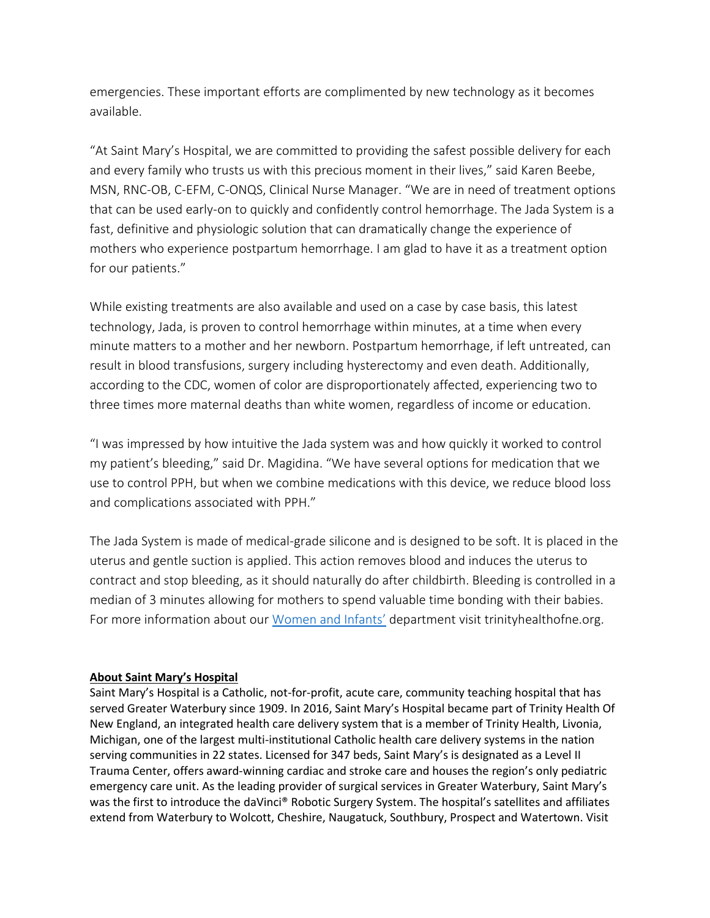emergencies. These important efforts are complimented by new technology as it becomes available.

"At Saint Mary's Hospital, we are committed to providing the safest possible delivery for each and every family who trusts us with this precious moment in their lives," said Karen Beebe, MSN, RNC-OB, C-EFM, C-ONQS, Clinical Nurse Manager. "We are in need of treatment options that can be used early-on to quickly and confidently control hemorrhage. The Jada System is a fast, definitive and physiologic solution that can dramatically change the experience of mothers who experience postpartum hemorrhage. I am glad to have it as a treatment option for our patients."

While existing treatments are also available and used on a case by case basis, this latest technology, Jada, is proven to control hemorrhage within minutes, at a time when every minute matters to a mother and her newborn. Postpartum hemorrhage, if left untreated, can result in blood transfusions, surgery including hysterectomy and even death. Additionally, according to the CDC, women of color are disproportionately affected, experiencing two to three times more maternal deaths than white women, regardless of income or education.

"I was impressed by how intuitive the Jada system was and how quickly it worked to control my patient's bleeding," said Dr. Magidina. "We have several options for medication that we use to control PPH, but when we combine medications with this device, we reduce blood loss and complications associated with PPH."

The Jada System is made of medical-grade silicone and is designed to be soft. It is placed in the uterus and gentle suction is applied. This action removes blood and induces the uterus to contract and stop bleeding, as it should naturally do after childbirth. Bleeding is controlled in a median of 3 minutes allowing for mothers to spend valuable time bonding with their babies. For more information about our [Women and Infants'](https://www.trinityhealthofne.org/location/women-infants-center-at-saint-marys-hospital) department visit trinityhealthofne.org.

## **About Saint Mary's Hospital**

Saint Mary's Hospital is a Catholic, not-for-profit, acute care, community teaching hospital that has served Greater Waterbury since 1909. In 2016, Saint Mary's Hospital became part of Trinity Health Of New England, an integrated health care delivery system that is a member of Trinity Health, Livonia, Michigan, one of the largest multi-institutional Catholic health care delivery systems in the nation serving communities in 22 states. Licensed for 347 beds, Saint Mary's is designated as a Level II Trauma Center, offers award-winning cardiac and stroke care and houses the region's only pediatric emergency care unit. As the leading provider of surgical services in Greater Waterbury, Saint Mary's was the first to introduce the daVinci® Robotic Surgery System. The hospital's satellites and affiliates extend from Waterbury to Wolcott, Cheshire, Naugatuck, Southbury, Prospect and Watertown. Visit